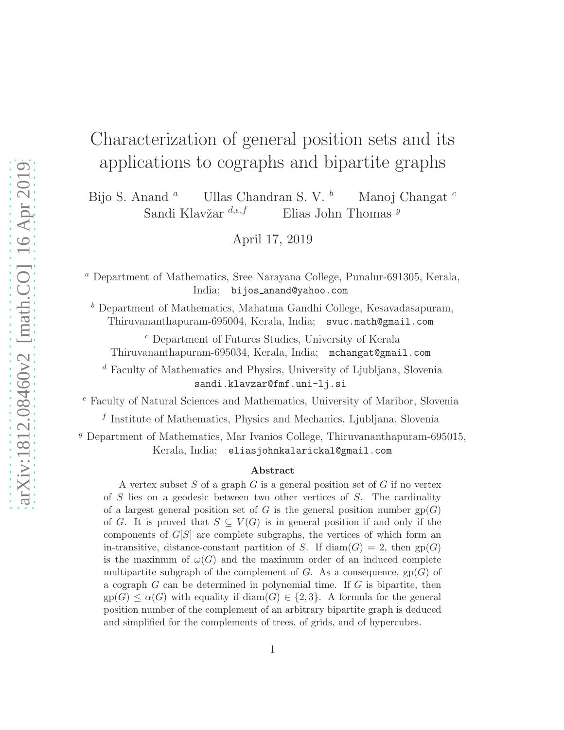# arXiv:1812.08460v2 [math.CO] 16 Apr 2019 [arXiv:1812.08460v2 \[math.CO\] 16 Apr 2019](http://arxiv.org/abs/1812.08460v2)

# Characterization of general position sets and its applications to cographs and bipartite graphs

Bijo S. Anand  $\alpha$  Ullas Chandran S. V.  $\frac{b}{c}$  Manoj Changat  $\frac{c}{c}$ Sandi Klavžar  $d,e,f$  Elias John Thomas  $g$ 

April 17, 2019

<sup>a</sup> Department of Mathematics, Sree Narayana College, Punalur-691305, Kerala, India; bijos anand@yahoo.com

<sup>b</sup> Department of Mathematics, Mahatma Gandhi College, Kesavadasapuram, Thiruvananthapuram-695004, Kerala, India; svuc.math@gmail.com

<sup>c</sup> Department of Futures Studies, University of Kerala Thiruvananthapuram-695034, Kerala, India; mchangat@gmail.com

<sup>d</sup> Faculty of Mathematics and Physics, University of Ljubljana, Slovenia sandi.klavzar@fmf.uni-lj.si

<sup>e</sup> Faculty of Natural Sciences and Mathematics, University of Maribor, Slovenia

f Institute of Mathematics, Physics and Mechanics, Ljubljana, Slovenia

<sup>g</sup> Department of Mathematics, Mar Ivanios College, Thiruvananthapuram-695015, Kerala, India; eliasjohnkalarickal@gmail.com

### Abstract

A vertex subset  $S$  of a graph  $G$  is a general position set of  $G$  if no vertex of S lies on a geodesic between two other vertices of S. The cardinality of a largest general position set of G is the general position number  $gp(G)$ of G. It is proved that  $S \subseteq V(G)$  is in general position if and only if the components of  $G[S]$  are complete subgraphs, the vertices of which form an in-transitive, distance-constant partition of S. If  $\text{diam}(G) = 2$ , then gp(G) is the maximum of  $\omega(G)$  and the maximum order of an induced complete multipartite subgraph of the complement of  $G$ . As a consequence,  $gp(G)$  of a cograph  $G$  can be determined in polynomial time. If  $G$  is bipartite, then  $gp(G) \leq \alpha(G)$  with equality if  $diam(G) \in \{2,3\}$ . A formula for the general position number of the complement of an arbitrary bipartite graph is deduced and simplified for the complements of trees, of grids, and of hypercubes.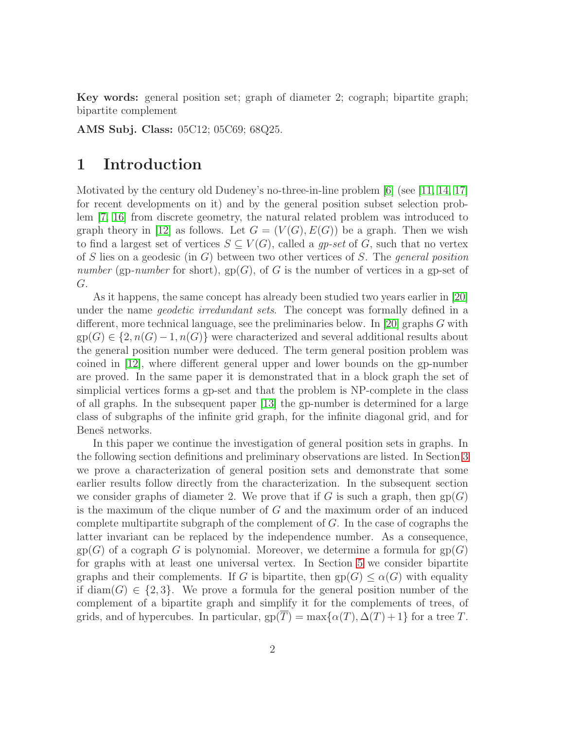Key words: general position set; graph of diameter 2; cograph; bipartite graph; bipartite complement

AMS Subj. Class: 05C12; 05C69; 68Q25.

### 1 Introduction

Motivated by the century old Dudeney's no-three-in-line problem [\[6\]](#page-11-0) (see [\[11,](#page-11-1) [14,](#page-11-2) [17\]](#page-11-3) for recent developments on it) and by the general position subset selection problem [\[7,](#page-11-4) [16\]](#page-11-5) from discrete geometry, the natural related problem was introduced to graph theory in [\[12\]](#page-11-6) as follows. Let  $G = (V(G), E(G))$  be a graph. Then we wish to find a largest set of vertices  $S \subseteq V(G)$ , called a qp-set of G, such that no vertex of S lies on a geodesic (in  $G$ ) between two other vertices of S. The *general position* number (gp-number for short),  $gp(G)$ , of G is the number of vertices in a gp-set of G.

As it happens, the same concept has already been studied two years earlier in [\[20\]](#page-12-0) under the name *geodetic irredundant sets*. The concept was formally defined in a different, more technical language, see the preliminaries below. In [\[20\]](#page-12-0) graphs G with  $gp(G) \in \{2, n(G)-1, n(G)\}\$  were characterized and several additional results about the general position number were deduced. The term general position problem was coined in [\[12\]](#page-11-6), where different general upper and lower bounds on the gp-number are proved. In the same paper it is demonstrated that in a block graph the set of simplicial vertices forms a gp-set and that the problem is NP-complete in the class of all graphs. In the subsequent paper [\[13\]](#page-11-7) the gp-number is determined for a large class of subgraphs of the infinite grid graph, for the infinite diagonal grid, and for Beneš networks.

In this paper we continue the investigation of general position sets in graphs. In the following section definitions and preliminary observations are listed. In Section [3](#page-3-0) we prove a characterization of general position sets and demonstrate that some earlier results follow directly from the characterization. In the subsequent section we consider graphs of diameter 2. We prove that if G is such a graph, then  $gp(G)$ is the maximum of the clique number of  $G$  and the maximum order of an induced complete multipartite subgraph of the complement of  $G$ . In the case of cographs the latter invariant can be replaced by the independence number. As a consequence,  $gp(G)$  of a cograph G is polynomial. Moreover, we determine a formula for  $gp(G)$ for graphs with at least one universal vertex. In Section [5](#page-6-0) we consider bipartite graphs and their complements. If G is bipartite, then  $gp(G) \leq \alpha(G)$  with equality if diam(G)  $\in \{2,3\}$ . We prove a formula for the general position number of the complement of a bipartite graph and simplify it for the complements of trees, of grids, and of hypercubes. In particular,  $gp(\overline{T}) = \max\{\alpha(T), \Delta(T) + 1\}$  for a tree T.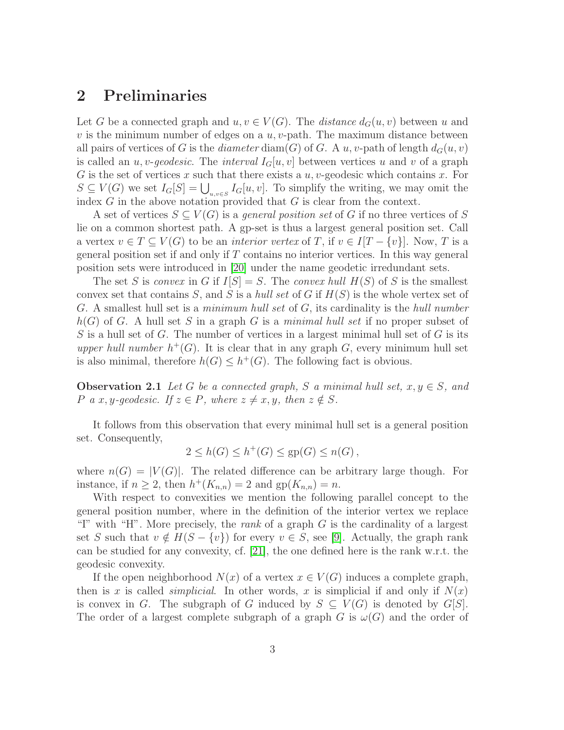### 2 Preliminaries

Let G be a connected graph and  $u, v \in V(G)$ . The *distance*  $d_G(u, v)$  between u and v is the minimum number of edges on a  $u, v$ -path. The maximum distance between all pairs of vertices of G is the diameter diam(G) of G. A u, v-path of length  $d_G(u, v)$ is called an u, v-geodesic. The interval  $I_G[u, v]$  between vertices u and v of a graph G is the set of vertices  $x$  such that there exists a  $u, v$ -geodesic which contains  $x$ . For  $S \subseteq V(G)$  we set  $I_G[S] = \bigcup_{u,v \in S} I_G[u,v]$ . To simplify the writing, we may omit the index  $G$  in the above notation provided that  $G$  is clear from the context.

A set of vertices  $S \subseteq V(G)$  is a *general position set* of G if no three vertices of S lie on a common shortest path. A gp-set is thus a largest general position set. Call a vertex  $v \in T \subseteq V(G)$  to be an *interior vertex* of T, if  $v \in I[T - \{v\}]$ . Now, T is a general position set if and only if  $T$  contains no interior vertices. In this way general position sets were introduced in [\[20\]](#page-12-0) under the name geodetic irredundant sets.

The set S is convex in G if  $I[S] = S$ . The convex hull  $H(S)$  of S is the smallest convex set that contains S, and S is a hull set of G if  $H(S)$  is the whole vertex set of G. A smallest hull set is a *minimum hull set* of G, its cardinality is the *hull number*  $h(G)$  of G. A hull set S in a graph G is a minimal hull set if no proper subset of S is a hull set of G. The number of vertices in a largest minimal hull set of G is its upper hull number  $h^+(G)$ . It is clear that in any graph G, every minimum hull set is also minimal, therefore  $h(G) \leq h^+(G)$ . The following fact is obvious.

**Observation 2.1** Let G be a connected graph, S a minimal hull set,  $x, y \in S$ , and P a x, y-geodesic. If  $z \in P$ , where  $z \neq x, y$ , then  $z \notin S$ .

It follows from this observation that every minimal hull set is a general position set. Consequently,

$$
2 \le h(G) \le h^+(G) \le \text{gp}(G) \le n(G),
$$

where  $n(G) = |V(G)|$ . The related difference can be arbitrary large though. For instance, if  $n \geq 2$ , then  $h^+(K_{n,n}) = 2$  and  $gp(K_{n,n}) = n$ .

With respect to convexities we mention the following parallel concept to the general position number, where in the definition of the interior vertex we replace "I" with "H". More precisely, the rank of a graph  $G$  is the cardinality of a largest set S such that  $v \notin H(S - \{v\})$  for every  $v \in S$ , see [\[9\]](#page-11-8). Actually, the graph rank can be studied for any convexity, cf. [\[21\]](#page-12-1), the one defined here is the rank w.r.t. the geodesic convexity.

If the open neighborhood  $N(x)$  of a vertex  $x \in V(G)$  induces a complete graph, then is x is called *simplicial*. In other words, x is simplicial if and only if  $N(x)$ is convex in G. The subgraph of G induced by  $S \subseteq V(G)$  is denoted by  $G[S]$ . The order of a largest complete subgraph of a graph G is  $\omega(G)$  and the order of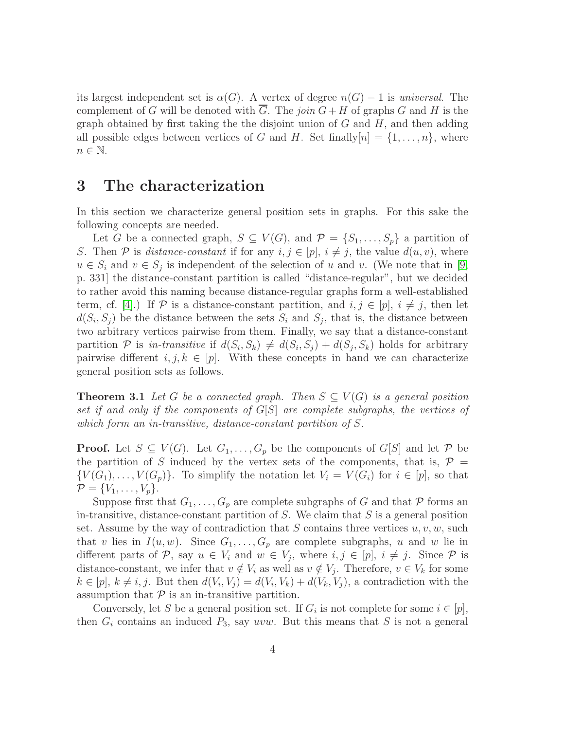its largest independent set is  $\alpha(G)$ . A vertex of degree  $n(G) - 1$  is universal. The complement of G will be denoted with G. The join  $G+H$  of graphs G and H is the graph obtained by first taking the the disjoint union of  $G$  and  $H$ , and then adding all possible edges between vertices of G and H. Set finally $[n] = \{1, \ldots, n\}$ , where  $n \in \mathbb{N}$ .

### <span id="page-3-0"></span>3 The characterization

In this section we characterize general position sets in graphs. For this sake the following concepts are needed.

Let G be a connected graph,  $S \subseteq V(G)$ , and  $\mathcal{P} = \{S_1, \ldots, S_p\}$  a partition of S. Then P is distance-constant if for any  $i, j \in [p]$ ,  $i \neq j$ , the value  $d(u, v)$ , where  $u \in S_i$  and  $v \in S_j$  is independent of the selection of u and v. (We note that in [\[9,](#page-11-8) p. 331] the distance-constant partition is called "distance-regular", but we decided to rather avoid this naming because distance-regular graphs form a well-established term, cf. [\[4\]](#page-10-0).) If P is a distance-constant partition, and  $i, j \in [p], i \neq j$ , then let  $d(S_i, S_j)$  be the distance between the sets  $S_i$  and  $S_j$ , that is, the distance between two arbitrary vertices pairwise from them. Finally, we say that a distance-constant partition P is in-transitive if  $d(S_i, S_k) \neq d(S_i, S_j) + d(S_j, S_k)$  holds for arbitrary pairwise different  $i, j, k \in [p]$ . With these concepts in hand we can characterize general position sets as follows.

<span id="page-3-1"></span>**Theorem 3.1** Let G be a connected graph. Then  $S \subseteq V(G)$  is a general position set if and only if the components of  $G[S]$  are complete subgraphs, the vertices of which form an in-transitive, distance-constant partition of S.

**Proof.** Let  $S \subseteq V(G)$ . Let  $G_1, \ldots, G_p$  be the components of  $G[S]$  and let P be the partition of S induced by the vertex sets of the components, that is,  $\mathcal{P} =$  ${V(G_1), \ldots, V(G_p)}$ . To simplify the notation let  $V_i = V(G_i)$  for  $i \in [p]$ , so that  $\mathcal{P} = \{V_1, \ldots, V_p\}.$ 

Suppose first that  $G_1, \ldots, G_p$  are complete subgraphs of G and that P forms an in-transitive, distance-constant partition of  $S$ . We claim that  $S$  is a general position set. Assume by the way of contradiction that S contains three vertices  $u, v, w$ , such that v lies in  $I(u, w)$ . Since  $G_1, \ldots, G_p$  are complete subgraphs, u and w lie in different parts of P, say  $u \in V_i$  and  $w \in V_j$ , where  $i, j \in [p], i \neq j$ . Since P is distance-constant, we infer that  $v \notin V_i$  as well as  $v \notin V_j$ . Therefore,  $v \in V_k$  for some  $k \in [p], k \neq i, j.$  But then  $d(V_i, V_j) = d(V_i, V_k) + d(V_k, V_j)$ , a contradiction with the assumption that  $P$  is an in-transitive partition.

Conversely, let S be a general position set. If  $G_i$  is not complete for some  $i \in [p]$ , then  $G_i$  contains an induced  $P_3$ , say uvw. But this means that S is not a general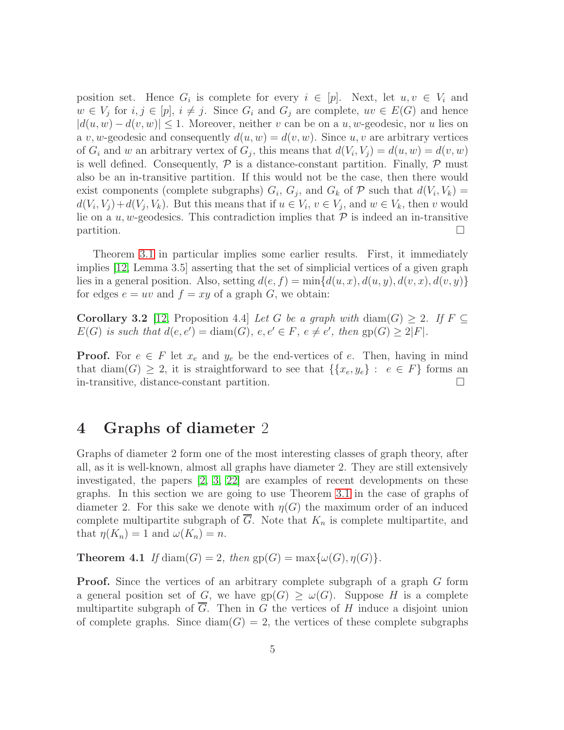position set. Hence  $G_i$  is complete for every  $i \in [p]$ . Next, let  $u, v \in V_i$  and  $w \in V_j$  for  $i, j \in [p], i \neq j$ . Since  $G_i$  and  $G_j$  are complete,  $uv \in E(G)$  and hence  $|d(u, w) - d(v, w)| \leq 1$ . Moreover, neither v can be on a u, w-geodesic, nor u lies on a v, w-geodesic and consequently  $d(u, w) = d(v, w)$ . Since u, v are arbitrary vertices of  $G_i$  and w an arbitrary vertex of  $G_j$ , this means that  $d(V_i, V_j) = d(u, w) = d(v, w)$ is well defined. Consequently,  $\mathcal P$  is a distance-constant partition. Finally,  $\mathcal P$  must also be an in-transitive partition. If this would not be the case, then there would exist components (complete subgraphs)  $G_i$ ,  $G_j$ , and  $G_k$  of  $P$  such that  $d(V_i, V_k) =$  $d(V_i, V_j) + d(V_j, V_k)$ . But this means that if  $u \in V_i$ ,  $v \in V_j$ , and  $w \in V_k$ , then v would lie on a  $u, w$ -geodesics. This contradiction implies that  $P$  is indeed an in-transitive  $\Box$ 

Theorem [3.1](#page-3-1) in particular implies some earlier results. First, it immediately implies [\[12,](#page-11-6) Lemma 3.5] asserting that the set of simplicial vertices of a given graph lies in a general position. Also, setting  $d(e, f) = \min\{d(u, x), d(u, y), d(v, x), d(v, y)\}\$ for edges  $e = uv$  and  $f = xy$  of a graph G, we obtain:

Corollary 3.2 [\[12,](#page-11-6) Proposition 4.4] Let G be a graph with diam(G)  $\geq$  2. If  $F \subseteq$  $E(G)$  is such that  $d(e, e') = \text{diam}(G), e, e' \in F, e \neq e'$ , then  $gp(G) \geq 2|F|$ .

**Proof.** For  $e \in F$  let  $x_e$  and  $y_e$  be the end-vertices of e. Then, having in mind that diam(G)  $\geq 2$ , it is straightforward to see that  $\{\{x_e, y_e\}: e \in F\}$  forms an in-transitive, distance-constant partition.

### 4 Graphs of diameter 2

Graphs of diameter 2 form one of the most interesting classes of graph theory, after all, as it is well-known, almost all graphs have diameter 2. They are still extensively investigated, the papers [\[2,](#page-10-1) [3,](#page-10-2) [22\]](#page-12-2) are examples of recent developments on these graphs. In this section we are going to use Theorem [3.1](#page-3-1) in the case of graphs of diameter 2. For this sake we denote with  $\eta(G)$  the maximum order of an induced complete multipartite subgraph of  $G$ . Note that  $K_n$  is complete multipartite, and that  $\eta(K_n) = 1$  and  $\omega(K_n) = n$ .

<span id="page-4-0"></span>**Theorem 4.1** If diam(G) = 2, then  $gp(G) = max{\omega(G), \eta(G)}$ .

**Proof.** Since the vertices of an arbitrary complete subgraph of a graph G form a general position set of G, we have  $gp(G) \ge \omega(G)$ . Suppose H is a complete multipartite subgraph of  $\overline{G}$ . Then in G the vertices of H induce a disjoint union of complete graphs. Since  $\text{diam}(G) = 2$ , the vertices of these complete subgraphs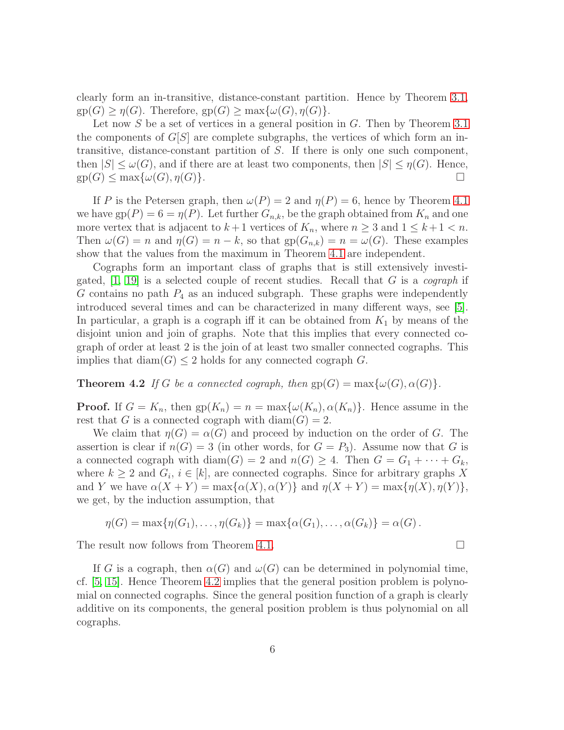clearly form an in-transitive, distance-constant partition. Hence by Theorem [3.1,](#page-3-1)  $gp(G) \geq \eta(G)$ . Therefore,  $gp(G) \geq max{\omega(G), \eta(G)}.$ 

Let now S be a set of vertices in a general position in G. Then by Theorem [3.1](#page-3-1) the components of  $G[S]$  are complete subgraphs, the vertices of which form an intransitive, distance-constant partition of S. If there is only one such component, then  $|S| \leq \omega(G)$ , and if there are at least two components, then  $|S| \leq \eta(G)$ . Hence,  $gp(G) \le \max{\{\omega(G), \eta(G)\}}$ .

If P is the Petersen graph, then  $\omega(P) = 2$  and  $\eta(P) = 6$ , hence by Theorem [4.1](#page-4-0) we have  $gp(P) = 6 = \eta(P)$ . Let further  $G_{n,k}$ , be the graph obtained from  $K_n$  and one more vertex that is adjacent to  $k+1$  vertices of  $K_n$ , where  $n \geq 3$  and  $1 \leq k+1 < n$ . Then  $\omega(G) = n$  and  $\eta(G) = n - k$ , so that  $gp(G_{n,k}) = n = \omega(G)$ . These examples show that the values from the maximum in Theorem [4.1](#page-4-0) are independent.

Cographs form an important class of graphs that is still extensively investigated,  $[1, 19]$  $[1, 19]$  is a selected couple of recent studies. Recall that G is a cograph if G contains no path  $P_4$  as an induced subgraph. These graphs were independently introduced several times and can be characterized in many different ways, see [\[5\]](#page-11-10). In particular, a graph is a cograph iff it can be obtained from  $K_1$  by means of the disjoint union and join of graphs. Note that this implies that every connected cograph of order at least 2 is the join of at least two smaller connected cographs. This implies that  $\dim(G) \leq 2$  holds for any connected cograph G.

<span id="page-5-0"></span>**Theorem 4.2** If G be a connected cograph, then  $gp(G) = max{\omega(G), \alpha(G)}$ .

**Proof.** If  $G = K_n$ , then  $gp(K_n) = n = \max\{\omega(K_n), \alpha(K_n)\}\)$ . Hence assume in the rest that G is a connected cograph with  $diam(G) = 2$ .

We claim that  $\eta(G) = \alpha(G)$  and proceed by induction on the order of G. The assertion is clear if  $n(G) = 3$  (in other words, for  $G = P_3$ ). Assume now that G is a connected cograph with diam $(G) = 2$  and  $n(G) \geq 4$ . Then  $G = G_1 + \cdots + G_k$ , where  $k \geq 2$  and  $G_i$ ,  $i \in [k]$ , are connected cographs. Since for arbitrary graphs X and Y we have  $\alpha(X + Y) = \max{\alpha(X), \alpha(Y)}$  and  $\eta(X + Y) = \max{\eta(X), \eta(Y)}$ , we get, by the induction assumption, that

$$
\eta(G) = \max\{\eta(G_1), \ldots, \eta(G_k)\} = \max\{\alpha(G_1), \ldots, \alpha(G_k)\} = \alpha(G).
$$

The result now follows from Theorem [4.1.](#page-4-0)

If G is a cograph, then  $\alpha(G)$  and  $\omega(G)$  can be determined in polynomial time, cf. [\[5,](#page-11-10) [15\]](#page-11-11). Hence Theorem [4.2](#page-5-0) implies that the general position problem is polynomial on connected cographs. Since the general position function of a graph is clearly additive on its components, the general position problem is thus polynomial on all cographs.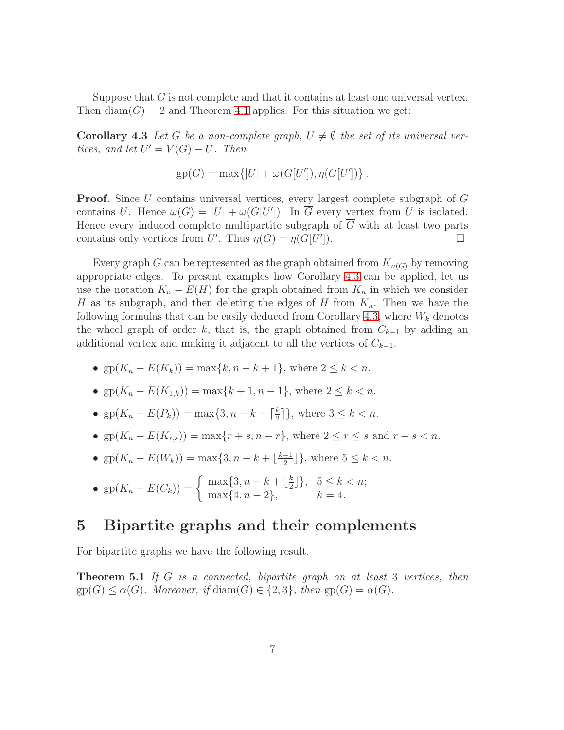<span id="page-6-1"></span>Suppose that  $G$  is not complete and that it contains at least one universal vertex. Then  $diam(G) = 2$  and Theorem [4.1](#page-4-0) applies. For this situation we get:

**Corollary 4.3** Let G be a non-complete graph,  $U \neq \emptyset$  the set of its universal vertices, and let  $U' = V(G) - U$ . Then

$$
gp(G) = max\{|U| + \omega(G[U'], \eta(G[U'])\}.
$$

**Proof.** Since U contains universal vertices, every largest complete subgraph of G contains U. Hence  $\omega(G) = |U| + \omega(G[U'])$ . In  $\overline{G}$  every vertex from U is isolated. Hence every induced complete multipartite subgraph of  $\overline{G}$  with at least two parts contains only vertices from U'. Thus  $\eta(G) = \eta(G[U']$  $\Box$ ).

Every graph G can be represented as the graph obtained from  $K_{n(G)}$  by removing appropriate edges. To present examples how Corollary [4.3](#page-6-1) can be applied, let us use the notation  $K_n - E(H)$  for the graph obtained from  $K_n$  in which we consider H as its subgraph, and then deleting the edges of H from  $K_n$ . Then we have the following formulas that can be easily deduced from Corollary [4.3,](#page-6-1) where  $W_k$  denotes the wheel graph of order k, that is, the graph obtained from  $C_{k-1}$  by adding an additional vertex and making it adjacent to all the vertices of  $C_{k-1}$ .

- gp $(K_n E(K_k)) = \max\{k, n k + 1\}$ , where  $2 \le k < n$ .
- gp $(K_n E(K_{1,k})) = \max\{k+1, n-1\}$ , where  $2 \le k < n$ .
- gp $(K_n E(P_k)) = \max\{3, n k + \lceil \frac{k}{2} \rceil \}$  $\frac{k}{2}$ ], where  $3 \leq k < n$ .
- gp $(K_n E(K_{r,s})) = \max\{r + s, n r\}$ , where  $2 \le r \le s$  and  $r + s < n$ .
- gp $(K_n E(W_k)) = \max\{3, n k + \lfloor\frac{k-1}{2}\rfloor\}$  $\frac{-1}{2}$ }, where  $5 \leq k < n$ .
- $\text{gp}(K_n E(C_k)) = \begin{cases} \max\{3, n k + \lfloor \frac{k}{2} \rfloor \} \\ \max\{4, n 3\} \end{cases}$  $\frac{k}{2}$ ],  $5 \leq k < n$ ;  $\max\{4, n-2\}, \qquad k=4.$

### <span id="page-6-0"></span>5 Bipartite graphs and their complements

<span id="page-6-2"></span>For bipartite graphs we have the following result.

**Theorem 5.1** If G is a connected, bipartite graph on at least 3 vertices, then  $gp(G) \leq \alpha(G)$ . Moreover, if  $\text{diam}(G) \in \{2,3\}$ , then  $gp(G) = \alpha(G)$ .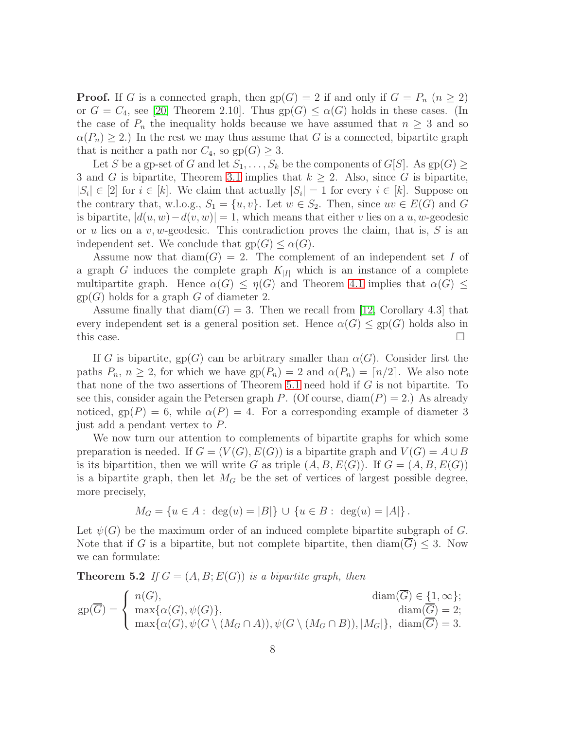**Proof.** If G is a connected graph, then  $gp(G) = 2$  if and only if  $G = P_n$   $(n \geq 2)$ or  $G = C_4$ , see [\[20,](#page-12-0) Theorem 2.10]. Thus  $gp(G) \le \alpha(G)$  holds in these cases. (In the case of  $P_n$  the inequality holds because we have assumed that  $n \geq 3$  and so  $\alpha(P_n) \geq 2$ .) In the rest we may thus assume that G is a connected, bipartite graph that is neither a path nor  $C_4$ , so  $gp(G) \geq 3$ .

Let S be a gp-set of G and let  $S_1, \ldots, S_k$  be the components of  $G[S]$ . As  $gp(G) \ge$ 3 and G is bipartite, Theorem [3.1](#page-3-1) implies that  $k \geq 2$ . Also, since G is bipartite,  $|S_i| \in [2]$  for  $i \in [k]$ . We claim that actually  $|S_i| = 1$  for every  $i \in [k]$ . Suppose on the contrary that, w.l.o.g.,  $S_1 = \{u, v\}$ . Let  $w \in S_2$ . Then, since  $uv \in E(G)$  and G is bipartite,  $|d(u, w) - d(v, w)| = 1$ , which means that either v lies on a u, w-geodesic or u lies on a  $v, w$ -geodesic. This contradiction proves the claim, that is, S is an independent set. We conclude that  $gp(G) \leq \alpha(G)$ .

Assume now that  $\text{diam}(G) = 2$ . The complement of an independent set I of a graph G induces the complete graph  $K_{|I|}$  which is an instance of a complete multipartite graph. Hence  $\alpha(G) \leq \eta(G)$  and Theorem [4.1](#page-4-0) implies that  $\alpha(G) \leq$  $gp(G)$  holds for a graph G of diameter 2.

Assume finally that  $diam(G) = 3$ . Then we recall from [\[12,](#page-11-6) Corollary 4.3] that every independent set is a general position set. Hence  $\alpha(G) \leq gp(G)$  holds also in this case.  $\Box$ 

If G is bipartite, gp(G) can be arbitrary smaller than  $\alpha(G)$ . Consider first the paths  $P_n$ ,  $n \geq 2$ , for which we have  $gp(P_n) = 2$  and  $\alpha(P_n) = \lceil n/2 \rceil$ . We also note that none of the two assertions of Theorem [5.1](#page-6-2) need hold if G is not bipartite. To see this, consider again the Petersen graph P. (Of course,  $\text{diam}(P) = 2$ .) As already noticed,  $gp(P) = 6$ , while  $\alpha(P) = 4$ . For a corresponding example of diameter 3 just add a pendant vertex to P.

We now turn our attention to complements of bipartite graphs for which some preparation is needed. If  $G = (V(G), E(G))$  is a bipartite graph and  $V(G) = A \cup B$ is its bipartition, then we will write G as triple  $(A, B, E(G))$ . If  $G = (A, B, E(G))$ is a bipartite graph, then let  $M_G$  be the set of vertices of largest possible degree, more precisely,

$$
M_G = \{ u \in A : \deg(u) = |B| \} \cup \{ u \in B : \deg(u) = |A| \}.
$$

Let  $\psi(G)$  be the maximum order of an induced complete bipartite subgraph of G. Note that if G is a bipartite, but not complete bipartite, then  $\text{diam}(G) \leq 3$ . Now we can formulate:

<span id="page-7-0"></span>**Theorem 5.2** If  $G = (A, B; E(G))$  is a bipartite graph, then

$$
gp(\overline{G}) = \begin{cases} n(G), & \text{diam}(\overline{G}) \in \{1, \infty\}; \\ \max\{\alpha(G), \psi(G)\}, & \text{diam}(\overline{G}) = 2; \\ \max\{\alpha(G), \psi(G \setminus (M_G \cap A)), \psi(G \setminus (M_G \cap B)), |M_G|\}, & \text{diam}(\overline{G}) = 3. \end{cases}
$$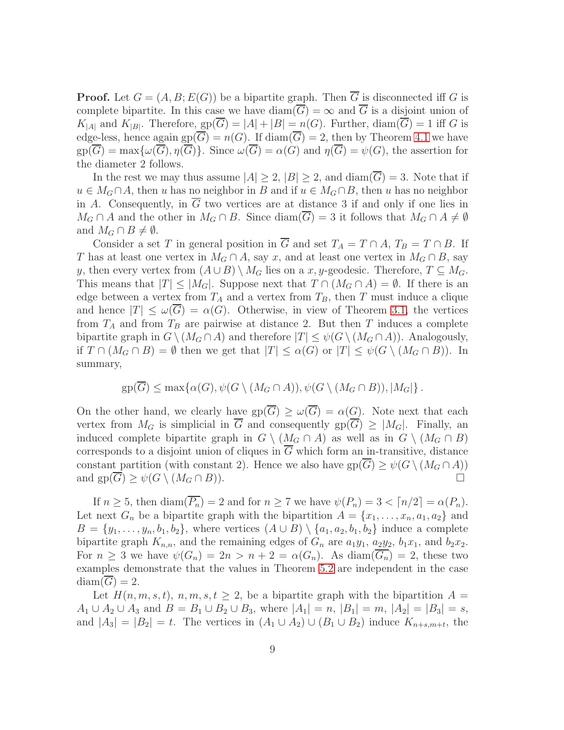**Proof.** Let  $G = (A, B; E(G))$  be a bipartite graph. Then  $\overline{G}$  is disconnected iff G is complete bipartite. In this case we have  $\text{diam}(\overline{G}) = \infty$  and  $\overline{G}$  is a disjoint union of  $K_{|A|}$  and  $K_{|B|}$ . Therefore,  $gp(G) = |A| + |B| = n(G)$ . Further,  $diam(G) = 1$  iff G is edge-less, hence again  $gp(\overline{G}) = n(G)$ . If  $\text{diam}(\overline{G}) = 2$ , then by Theorem [4.1](#page-4-0) we have  $gp(\overline{G}) = \max\{\omega(\overline{G}), \eta(\overline{G})\}.$  Since  $\omega(\overline{G}) = \alpha(G)$  and  $\eta(\overline{G}) = \psi(G)$ , the assertion for the diameter 2 follows.

In the rest we may thus assume  $|A| \geq 2$ ,  $|B| \geq 2$ , and  $\text{diam}(\overline{G}) = 3$ . Note that if  $u \in M_G \cap A$ , then u has no neighbor in B and if  $u \in M_G \cap B$ , then u has no neighbor in A. Consequently, in  $\overline{G}$  two vertices are at distance 3 if and only if one lies in  $M_G \cap A$  and the other in  $M_G \cap B$ . Since  $\text{diam}(G) = 3$  it follows that  $M_G \cap A \neq \emptyset$ and  $M_G \cap B \neq \emptyset$ .

Consider a set T in general position in  $\overline{G}$  and set  $T_A = T \cap A$ ,  $T_B = T \cap B$ . If T has at least one vertex in  $M_G \cap A$ , say x, and at least one vertex in  $M_G \cap B$ , say y, then every vertex from  $(A \cup B) \setminus M_G$  lies on a x, y-geodesic. Therefore,  $T \subseteq M_G$ . This means that  $|T| \leq |M_G|$ . Suppose next that  $T \cap (M_G \cap A) = \emptyset$ . If there is an edge between a vertex from  $T_A$  and a vertex from  $T_B$ , then T must induce a clique and hence  $|T| \leq \omega(\overline{G}) = \alpha(G)$ . Otherwise, in view of Theorem [3.1,](#page-3-1) the vertices from  $T_A$  and from  $T_B$  are pairwise at distance 2. But then T induces a complete bipartite graph in  $G \setminus (M_G \cap A)$  and therefore  $|T| \leq \psi(G \setminus (M_G \cap A))$ . Analogously, if  $T \cap (M_G \cap B) = \emptyset$  then we get that  $|T| \leq \alpha(G)$  or  $|T| \leq \psi(G \setminus (M_G \cap B))$ . In summary,

$$
\text{gp}(\overline{G}) \le \max\{\alpha(G), \psi(G \setminus (M_G \cap A)), \psi(G \setminus (M_G \cap B)), |M_G|\}.
$$

On the other hand, we clearly have  $gp(\overline{G}) > \omega(\overline{G}) = \alpha(G)$ . Note next that each vertex from  $M_G$  is simplicial in  $\overline{G}$  and consequently  $gp(\overline{G}) \geq |M_G|$ . Finally, an induced complete bipartite graph in  $G \setminus (M_G \cap A)$  as well as in  $G \setminus (M_G \cap B)$ corresponds to a disjoint union of cliques in  $\overline{G}$  which form an in-transitive, distance constant partition (with constant 2). Hence we also have  $gp(\overline{G}) \ge \psi(G \setminus (M_G \cap A))$ and  $gp(\overline{G}) > \psi(G \setminus (M_G \cap B)).$ 

If  $n \geq 5$ , then  $\text{diam}(\overline{P_n}) = 2$  and for  $n \geq 7$  we have  $\psi(P_n) = 3 < \lceil n/2 \rceil = \alpha(P_n)$ . Let next  $G_n$  be a bipartite graph with the bipartition  $A = \{x_1, \ldots, x_n, a_1, a_2\}$  and  $B = \{y_1, \ldots, y_n, b_1, b_2\}$ , where vertices  $(A \cup B) \setminus \{a_1, a_2, b_1, b_2\}$  induce a complete bipartite graph  $K_{n,n}$ , and the remaining edges of  $G_n$  are  $a_1y_1, a_2y_2, b_1x_1$ , and  $b_2x_2$ . For  $n \geq 3$  we have  $\psi(G_n) = 2n > n+2 = \alpha(G_n)$ . As  $\text{diam}(G_n) = 2$ , these two examples demonstrate that the values in Theorem [5.2](#page-7-0) are independent in the case  $diam(G) = 2.$ 

Let  $H(n, m, s, t), n, m, s, t \geq 2$ , be a bipartite graph with the bipartition  $A =$  $A_1 \cup A_2 \cup A_3$  and  $B = B_1 \cup B_2 \cup B_3$ , where  $|A_1| = n$ ,  $|B_1| = m$ ,  $|A_2| = |B_3| = s$ , and  $|A_3| = |B_2| = t$ . The vertices in  $(A_1 \cup A_2) \cup (B_1 \cup B_2)$  induce  $K_{n+s,m+t}$ , the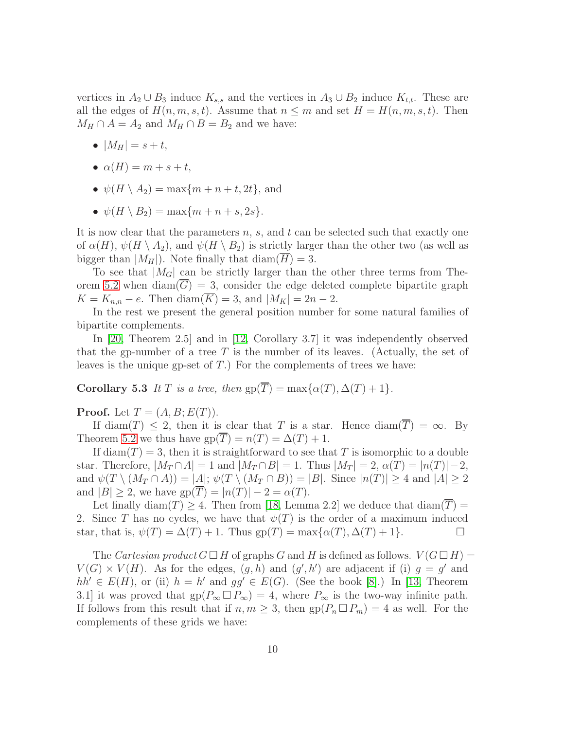vertices in  $A_2 \cup B_3$  induce  $K_{s,s}$  and the vertices in  $A_3 \cup B_2$  induce  $K_{t,t}$ . These are all the edges of  $H(n, m, s, t)$ . Assume that  $n \leq m$  and set  $H = H(n, m, s, t)$ . Then  $M_H \cap A = A_2$  and  $M_H \cap B = B_2$  and we have:

- $|M_H| = s + t$ ,
- $\alpha(H) = m + s + t$ ,
- $\psi(H \setminus A_2) = \max\{m + n + t, 2t\}$ , and
- $\psi(H \setminus B_2) = \max\{m+n+s, 2s\}.$

It is now clear that the parameters  $n, s$ , and  $t$  can be selected such that exactly one of  $\alpha(H)$ ,  $\psi(H \setminus A_2)$ , and  $\psi(H \setminus B_2)$  is strictly larger than the other two (as well as bigger than  $|M_H|$ ). Note finally that  $\text{diam}(\overline{H}) = 3$ .

To see that  $|M_G|$  can be strictly larger than the other three terms from The-orem [5.2](#page-7-0) when diam( $\overline{G}$ ) = 3, consider the edge deleted complete bipartite graph  $K = K_{n,n} - e$ . Then diam( $\overline{K}$ ) = 3, and  $|M_K| = 2n - 2$ .

In the rest we present the general position number for some natural families of bipartite complements.

In [\[20,](#page-12-0) Theorem 2.5] and in [\[12,](#page-11-6) Corollary 3.7] it was independently observed that the gp-number of a tree  $T$  is the number of its leaves. (Actually, the set of leaves is the unique gp-set of  $T$ .) For the complements of trees we have:

Corollary 5.3 It T is a tree, then  $gp(\overline{T}) = \max\{\alpha(T), \Delta(T) + 1\}.$ 

**Proof.** Let  $T = (A, B; E(T))$ .

If diam(T)  $\leq$  2, then it is clear that T is a star. Hence diam( $\overline{T}$ ) =  $\infty$ . By Theorem [5.2](#page-7-0) we thus have  $gp(T) = n(T) = \Delta(T) + 1$ .

If diam $(T) = 3$ , then it is straightforward to see that T is isomorphic to a double star. Therefore,  $|M_T \cap A| = 1$  and  $|M_T \cap B| = 1$ . Thus  $|M_T| = 2$ ,  $\alpha(T) = |n(T)| - 2$ , and  $\psi(T \setminus (M_T \cap A)) = |A|$ ;  $\psi(T \setminus (M_T \cap B)) = |B|$ . Since  $|n(T)| \geq 4$  and  $|A| \geq 2$ and  $|B| \geq 2$ , we have  $gp(\overline{T}) = |n(T)| - 2 = \alpha(T)$ .

Let finally diam(T)  $\geq$  4. Then from [\[18,](#page-11-12) Lemma 2.2] we deduce that diam( $\overline{T}$ ) = 2. Since T has no cycles, we have that  $\psi(T)$  is the order of a maximum induced star, that is,  $\psi(T) = \Delta(T) + 1$ . Thus  $gp(T) = \max{\alpha(T), \Delta(T) + 1}$ .

<span id="page-9-0"></span>The Cartesian product  $G \square H$  of graphs G and H is defined as follows.  $V(G \square H)$  =  $V(G) \times V(H)$ . As for the edges,  $(g, h)$  and  $(g', h')$  are adjacent if (i)  $g = g'$  and  $hh' \in E(H)$ , or (ii)  $h = h'$  and  $gg' \in E(G)$ . (See the book [\[8\]](#page-11-13).) In [\[13,](#page-11-7) Theorem 3.1] it was proved that  $gp(P_\infty \Box P_\infty) = 4$ , where  $P_\infty$  is the two-way infinite path. If follows from this result that if  $n, m \geq 3$ , then  $gp(P_n \square P_m) = 4$  as well. For the complements of these grids we have: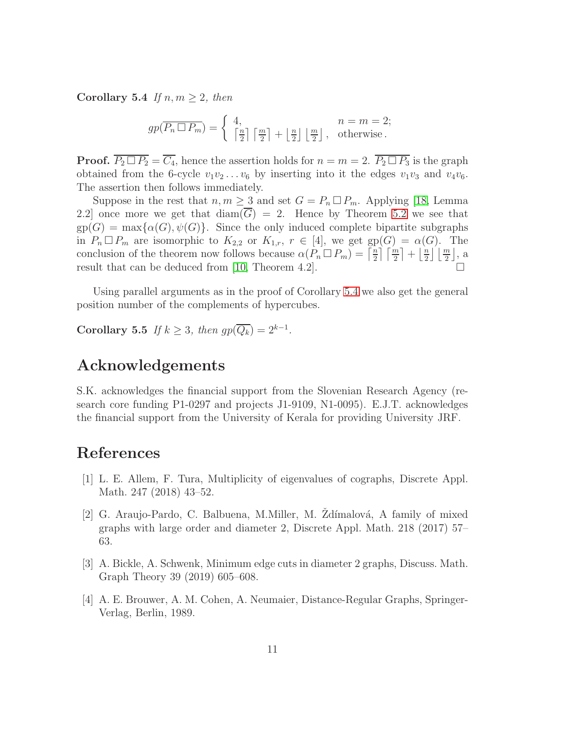Corollary 5.4 If  $n, m \geq 2$ , then

$$
gp(\overline{P_n \square P_m}) = \begin{cases} 4, & n = m = 2; \\ \left\lceil \frac{n}{2} \right\rceil \left\lceil \frac{m}{2} \right\rceil + \left\lfloor \frac{n}{2} \right\rfloor \left\lfloor \frac{m}{2} \right\rfloor, & \text{otherwise.} \end{cases}
$$

**Proof.**  $\overline{P_2 \square P_2} = \overline{C_4}$ , hence the assertion holds for  $n = m = 2$ .  $\overline{P_2 \square P_3}$  is the graph obtained from the 6-cycle  $v_1v_2 \ldots v_6$  by inserting into it the edges  $v_1v_3$  and  $v_4v_6$ . The assertion then follows immediately.

Suppose in the rest that  $n, m \geq 3$  and set  $G = P_n \square P_m$ . Applying [\[18,](#page-11-12) Lemma 2.2] once more we get that  $\text{diam}(\overline{G}) = 2$ . Hence by Theorem [5.2](#page-7-0) we see that  $gp(G) = max\{\alpha(G), \psi(G)\}.$  Since the only induced complete bipartite subgraphs in  $P_n \square P_m$  are isomorphic to  $K_{2,2}$  or  $K_{1,r}$ ,  $r \in [4]$ , we get  $gp(G) = \alpha(G)$ . The conclusion of the theorem now follows because  $\alpha(P_n \Box P_m) = \left[\frac{n}{2}\right]$  $\frac{n}{2}$   $\left\lceil \frac{m}{2} \right\rceil + \left\lfloor \frac{n}{2} \right\rfloor$  $\frac{n}{2}$   $\lfloor \frac{m}{2} \rfloor$ , a result that can be deduced from [\[10,](#page-11-14) Theorem 4.2].  $\Box$ 

Using parallel arguments as in the proof of Corollary [5.4](#page-9-0) we also get the general position number of the complements of hypercubes.

Corollary 5.5 If  $k \geq 3$ , then  $gp(\overline{Q_k}) = 2^{k-1}$ .

### Acknowledgements

S.K. acknowledges the financial support from the Slovenian Research Agency (research core funding P1-0297 and projects J1-9109, N1-0095). E.J.T. acknowledges the financial support from the University of Kerala for providing University JRF.

## <span id="page-10-3"></span>References

- [1] L. E. Allem, F. Tura, Multiplicity of eigenvalues of cographs, Discrete Appl. Math. 247 (2018) 43–52.
- <span id="page-10-1"></span>[2] G. Araujo-Pardo, C. Balbuena, M.Miller, M. Zdímalová, A family of mixed graphs with large order and diameter 2, Discrete Appl. Math. 218 (2017) 57– 63.
- <span id="page-10-2"></span>[3] A. Bickle, A. Schwenk, Minimum edge cuts in diameter 2 graphs, Discuss. Math. Graph Theory 39 (2019) 605–608.
- <span id="page-10-0"></span>[4] A. E. Brouwer, A. M. Cohen, A. Neumaier, Distance-Regular Graphs, Springer-Verlag, Berlin, 1989.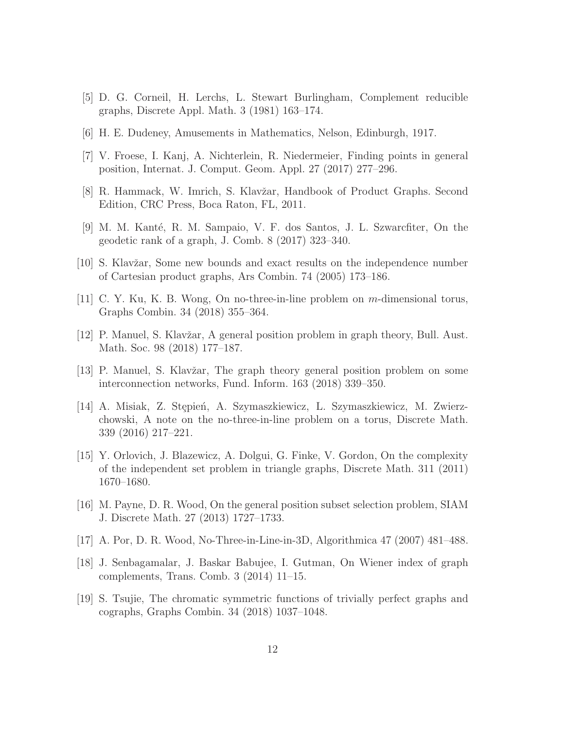- <span id="page-11-10"></span><span id="page-11-0"></span>[5] D. G. Corneil, H. Lerchs, L. Stewart Burlingham, Complement reducible graphs, Discrete Appl. Math. 3 (1981) 163–174.
- <span id="page-11-4"></span>[6] H. E. Dudeney, Amusements in Mathematics, Nelson, Edinburgh, 1917.
- <span id="page-11-13"></span>[7] V. Froese, I. Kanj, A. Nichterlein, R. Niedermeier, Finding points in general position, Internat. J. Comput. Geom. Appl. 27 (2017) 277–296.
- <span id="page-11-8"></span>[8] R. Hammack, W. Imrich, S. Klavžar, Handbook of Product Graphs. Second Edition, CRC Press, Boca Raton, FL, 2011.
- <span id="page-11-14"></span>[9] M. M. Kanté, R. M. Sampaio, V. F. dos Santos, J. L. Szwarcfiter, On the geodetic rank of a graph, J. Comb. 8 (2017) 323–340.
- <span id="page-11-1"></span>[10] S. Klavžar, Some new bounds and exact results on the independence number of Cartesian product graphs, Ars Combin. 74 (2005) 173–186.
- <span id="page-11-6"></span>[11] C. Y. Ku, K. B. Wong, On no-three-in-line problem on m-dimensional torus, Graphs Combin. 34 (2018) 355–364.
- <span id="page-11-7"></span>[12] P. Manuel, S. Klavžar, A general position problem in graph theory, Bull. Aust. Math. Soc. 98 (2018) 177–187.
- <span id="page-11-2"></span>[13] P. Manuel, S. Klavžar, The graph theory general position problem on some interconnection networks, Fund. Inform. 163 (2018) 339–350.
- [14] A. Misiak, Z. Stępień, A. Szymaszkiewicz, L. Szymaszkiewicz, M. Zwierzchowski, A note on the no-three-in-line problem on a torus, Discrete Math. 339 (2016) 217–221.
- <span id="page-11-11"></span>[15] Y. Orlovich, J. Blazewicz, A. Dolgui, G. Finke, V. Gordon, On the complexity of the independent set problem in triangle graphs, Discrete Math. 311 (2011) 1670–1680.
- <span id="page-11-5"></span>[16] M. Payne, D. R. Wood, On the general position subset selection problem, SIAM J. Discrete Math. 27 (2013) 1727–1733.
- <span id="page-11-12"></span><span id="page-11-3"></span>[17] A. Por, D. R. Wood, No-Three-in-Line-in-3D, Algorithmica 47 (2007) 481–488.
- [18] J. Senbagamalar, J. Baskar Babujee, I. Gutman, On Wiener index of graph complements, Trans. Comb. 3 (2014) 11–15.
- <span id="page-11-9"></span>[19] S. Tsujie, The chromatic symmetric functions of trivially perfect graphs and cographs, Graphs Combin. 34 (2018) 1037–1048.